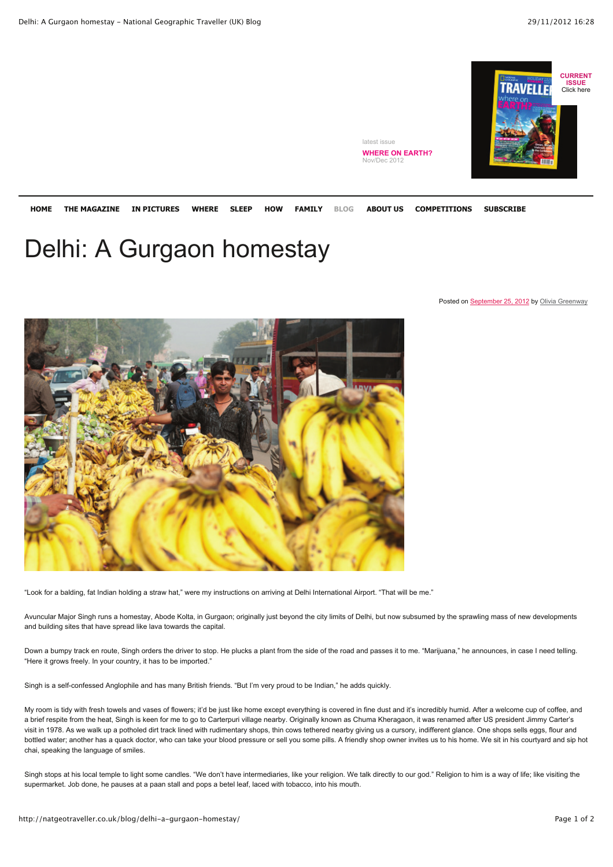

**HOME THE MAGAZINE IN PICTURES WHERE SLEEP HOW FAMILY ABOUT US COMPETITIONS SUBSCRIBE BLOG**

latest issue

**WHERE ON EARTH?** Nov/Dec 2012

## Delhi: A Gurgaon homestay

Posted on September 25, 2012 by Olivia Greenway



"Look for a balding, fat Indian holding a straw hat," were my instructions on arriving at Delhi International Airport. "That will be me."

Avuncular Major Singh runs a homestay, Abode Kolta, in Gurgaon; originally just beyond the city limits of Delhi, but now subsumed by the sprawling mass of new developments and building sites that have spread like lava towards the capital.

Down a bumpy track en route, Singh orders the driver to stop. He plucks a plant from the side of the road and passes it to me. "Marijuana," he announces, in case I need telling. "Here it grows freely. In your country, it has to be imported."

Singh is a self-confessed Anglophile and has many British friends. "But I'm very proud to be Indian," he adds quickly.

My room is tidy with fresh towels and vases of flowers; it'd be just like home except everything is covered in fine dust and it's incredibly humid. After a welcome cup of coffee, and a brief respite from the heat, Singh is keen for me to go to Carterpuri village nearby. Originally known as Chuma Kheragaon, it was renamed after US president Jimmy Carter's visit in 1978. As we walk up a potholed dirt track lined with rudimentary shops, thin cows tethered nearby giving us a cursory, indifferent glance. One shops sells eggs, flour and bottled water; another has a quack doctor, who can take your blood pressure or sell you some pills. A friendly shop owner invites us to his home. We sit in his courtyard and sip hot chai, speaking the language of smiles.

Singh stops at his local temple to light some candles. "We don't have intermediaries, like your religion. We talk directly to our god." Religion to him is a way of life; like visiting the supermarket. Job done, he pauses at a paan stall and pops a betel leaf, laced with tobacco, into his mouth.